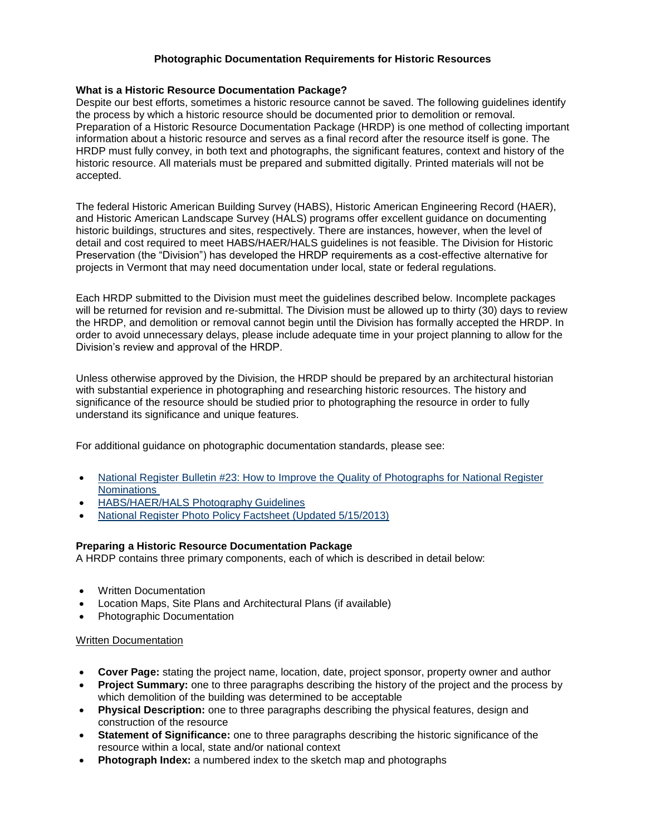# **Photographic Documentation Requirements for Historic Resources**

### **What is a Historic Resource Documentation Package?**

Despite our best efforts, sometimes a historic resource cannot be saved. The following guidelines identify the process by which a historic resource should be documented prior to demolition or removal. Preparation of a Historic Resource Documentation Package (HRDP) is one method of collecting important information about a historic resource and serves as a final record after the resource itself is gone. The HRDP must fully convey, in both text and photographs, the significant features, context and history of the historic resource. All materials must be prepared and submitted digitally. Printed materials will not be accepted.

The federal Historic American Building Survey (HABS), Historic American Engineering Record (HAER), and Historic American Landscape Survey (HALS) programs offer excellent guidance on documenting historic buildings, structures and sites, respectively. There are instances, however, when the level of detail and cost required to meet HABS/HAER/HALS guidelines is not feasible. The Division for Historic Preservation (the "Division") has developed the HRDP requirements as a cost-effective alternative for projects in Vermont that may need documentation under local, state or federal regulations.

Each HRDP submitted to the Division must meet the guidelines described below. Incomplete packages will be returned for revision and re-submittal. The Division must be allowed up to thirty (30) days to review the HRDP, and demolition or removal cannot begin until the Division has formally accepted the HRDP. In order to avoid unnecessary delays, please include adequate time in your project planning to allow for the Division's review and approval of the HRDP.

Unless otherwise approved by the Division, the HRDP should be prepared by an architectural historian with substantial experience in photographing and researching historic resources. The history and significance of the resource should be studied prior to photographing the resource in order to fully understand its significance and unique features.

For additional guidance on photographic documentation standards, please see:

- [National Register Bulletin #23: How to Improve the Quality of Photographs for National Register](https://www.nps.gov/subjects/nationalregister/upload/NRB23-Complete.pdf) [Nominations](https://www.nps.gov/subjects/nationalregister/upload/NRB23-Complete.pdf)
- HABS/HAER/HALS [Photography Guidelines](http://www.nps.gov/hdp/standards/PhotoGuidelines.pdf)
- National Register [Photo Policy Factsheet \(Updated 5/15/2013\)](https://www.nps.gov/subjects/nationalregister/upload/Photo_Policy_update_2013_05_15_508.pdf)

# **Preparing a Historic Resource Documentation Package**

A HRDP contains three primary components, each of which is described in detail below:

- Written Documentation
- Location Maps, Site Plans and Architectural Plans (if available)
- Photographic Documentation

### Written Documentation

- **Cover Page:** stating the project name, location, date, project sponsor, property owner and author
- **Project Summary:** one to three paragraphs describing the history of the project and the process by which demolition of the building was determined to be acceptable
- **Physical Description:** one to three paragraphs describing the physical features, design and construction of the resource
- **Statement of Significance:** one to three paragraphs describing the historic significance of the resource within a local, state and/or national context
- **Photograph Index:** a numbered index to the sketch map and photographs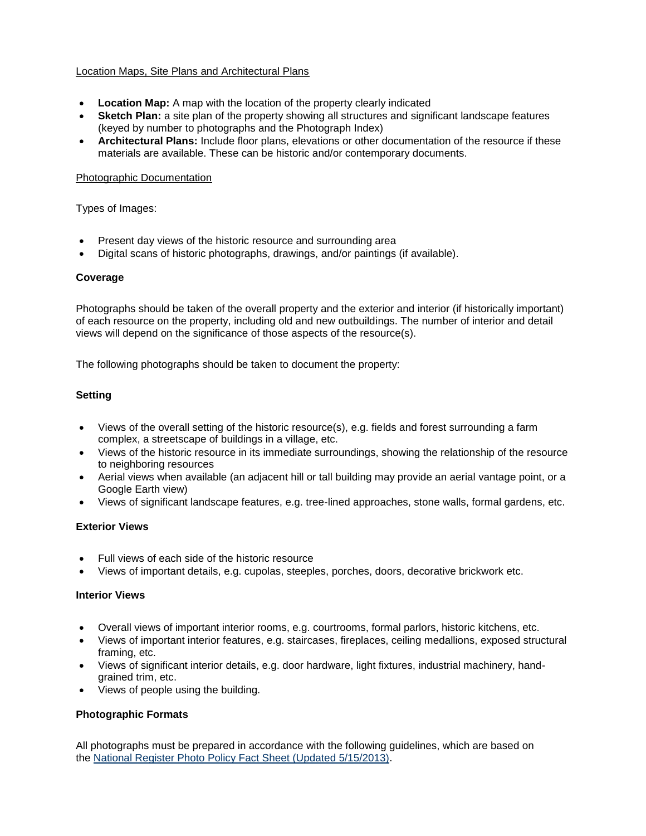## Location Maps, Site Plans and Architectural Plans

- **Location Map:** A map with the location of the property clearly indicated
- **Sketch Plan:** a site plan of the property showing all structures and significant landscape features (keyed by number to photographs and the Photograph Index)
- **Architectural Plans:** Include floor plans, elevations or other documentation of the resource if these materials are available. These can be historic and/or contemporary documents.

### Photographic Documentation

Types of Images:

- Present day views of the historic resource and surrounding area
- Digital scans of historic photographs, drawings, and/or paintings (if available).

### **Coverage**

Photographs should be taken of the overall property and the exterior and interior (if historically important) of each resource on the property, including old and new outbuildings. The number of interior and detail views will depend on the significance of those aspects of the resource(s).

The following photographs should be taken to document the property:

## **Setting**

- Views of the overall setting of the historic resource(s), e.g. fields and forest surrounding a farm complex, a streetscape of buildings in a village, etc.
- Views of the historic resource in its immediate surroundings, showing the relationship of the resource to neighboring resources
- Aerial views when available (an adjacent hill or tall building may provide an aerial vantage point, or a Google Earth view)
- Views of significant landscape features, e.g. tree-lined approaches, stone walls, formal gardens, etc.

### **Exterior Views**

- Full views of each side of the historic resource
- Views of important details, e.g. cupolas, steeples, porches, doors, decorative brickwork etc.

### **Interior Views**

- Overall views of important interior rooms, e.g. courtrooms, formal parlors, historic kitchens, etc.
- Views of important interior features, e.g. staircases, fireplaces, ceiling medallions, exposed structural framing, etc.
- Views of significant interior details, e.g. door hardware, light fixtures, industrial machinery, handgrained trim, etc.
- Views of people using the building.

### **Photographic Formats**

All photographs must be prepared in accordance with the following guidelines, which are based on the [National Register Photo Policy Fact Sheet \(Updated 5/15/2013\).](https://www.nps.gov/subjects/nationalregister/upload/Photo_Policy_update_2013_05_15_508.pdf)